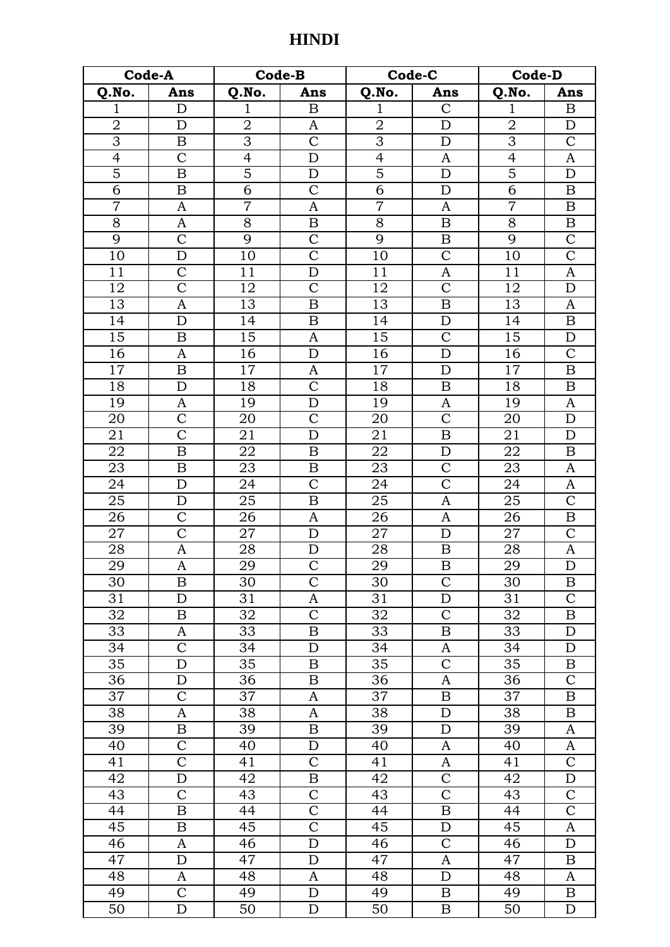| Code-A          |                       | Code-B          |                       | Code-C          |                         | Code-D          |                         |
|-----------------|-----------------------|-----------------|-----------------------|-----------------|-------------------------|-----------------|-------------------------|
| Q.No.           | Ans                   | Q.No.           | Ans                   | Q.No.           | Ans                     | Q.No.           | Ans                     |
| $\mathbf{1}$    | $\mathbf D$           | $\mathbf{1}$    | $\boldsymbol{B}$      | $\mathbf{1}$    | $\mathsf{C}$            | $\mathbf{1}$    | $\boldsymbol{B}$        |
| $\overline{2}$  | D                     | $\overline{2}$  | A                     | $\overline{2}$  | $\overline{D}$          | $\overline{2}$  | ${\rm D}$               |
| $\overline{3}$  | B                     | $\overline{3}$  | $\mathcal{C}$         | $\overline{3}$  | D                       | $\overline{3}$  | $\mathbf C$             |
| $\overline{4}$  | $\mathcal{C}$         | $\overline{4}$  | $\mathbf D$           | $\overline{4}$  | A                       | $\overline{4}$  | A                       |
| $\overline{5}$  | $\overline{B}$        | $\overline{5}$  | $\mathbf D$           | $\overline{5}$  | $\mathbf D$             | $\overline{5}$  | $\mathbf D$             |
| $\overline{6}$  | $\boldsymbol{B}$      | $\overline{6}$  | $\overline{\text{C}}$ | $\overline{6}$  | $\mathbf D$             | $\overline{6}$  | $\boldsymbol{B}$        |
| $\overline{7}$  | A                     | $\overline{7}$  | A                     | $\overline{7}$  | A                       | $\overline{7}$  | $\boldsymbol{B}$        |
| 8               | $\mathbf{A}$          | $\overline{8}$  | $\boldsymbol{B}$      | 8               | $\, {\bf B}$            | 8               | $\, {\bf B}$            |
| 9               | $\overline{\text{C}}$ | 9               | $\mathcal{C}$         | 9               | B                       | 9               | $\overline{C}$          |
| 10              | D                     | 10              | $\overline{C}$        | 10              | $\overline{C}$          | 10              | $\overline{\mathrm{C}}$ |
| 11              | $\overline{C}$        | 11              | $\mathbf D$           | 11              | A                       | 11              | $\mathbf{A}$            |
| 12              | $\overline{C}$        | 12              | $\mathcal{C}$         | 12              | $\mathcal{C}$           | 12              | $\mathbf D$             |
| 13              | A                     | 13              | $\boldsymbol{B}$      | $\overline{13}$ | $\boldsymbol{B}$        | 13              | $\mathbf{A}$            |
| 14              | D                     | 14              | B                     | 14              | D                       | 14              | B                       |
| 15              | $\boldsymbol{B}$      | 15              | $\mathbf{A}$          | 15              | $\mathcal{C}$           | 15              | ${\rm D}$               |
| 16              | A                     | 16              | $\mathbf D$           | $\overline{16}$ | D                       | 16              | $\overline{C}$          |
| 17              | B                     | 17              | A                     | 17              | $\mathbf D$             | 17              | $\boldsymbol{B}$        |
| 18              | $\mathbf D$           | $\overline{1}8$ | $\overline{\text{C}}$ | 18              | $\, {\bf B}$            | 18              | $\boldsymbol{B}$        |
| 19              | A                     | 19              | $\mathbf D$           | 19              | $\mathbf{A}$            | 19              | $\mathbf{A}$            |
| 20              | $\mathcal{C}$         | 20              | $\mathcal{C}$         | 20              | $\mathcal{C}$           | 20              | $\mathbf D$             |
| 21              | $\overline{\text{C}}$ | 21              | ${\bf D}$             | 21              | $\, {\bf B}$            | 21              | $\mathbf D$             |
| 22              | $\boldsymbol{B}$      | 22              | $\boldsymbol{B}$      | 22              | $\mathbf D$             | 22              | $\boldsymbol{B}$        |
| 23              | $\boldsymbol{B}$      | 23              | $\boldsymbol{B}$      | $\overline{23}$ | $\overline{C}$          | 23              | $\mathbf{A}$            |
| 24              | D                     | 24              | $\mathcal{C}$         | 24              | $\mathcal{C}$           | 24              | A                       |
| $\overline{25}$ | D                     | $\overline{25}$ | $\boldsymbol{B}$      | $\overline{25}$ | A                       | 25              | $\overline{C}$          |
| 26              | $\mathcal{C}$         | 26              | $\mathbf{A}$          | 26              | $\mathbf{A}$            | 26              | $\boldsymbol{B}$        |
| 27              | $\overline{C}$        | 27              | $\mathbf D$           | 27              | $\mathbf D$             | 27              | $\mathsf{C}$            |
| 28              | A                     | 28              | D                     | 28              | B                       | 28              | A                       |
| $\overline{29}$ | $\overline{\rm A}$    | 29              | $\overline{C}$        | 29              | $\overline{\mathrm{B}}$ | 29              | $\overline{\rm D}$      |
| 30              | B                     | 30              | $\overline{C}$        | 30              | $\overline{C}$          | 30              | $\boldsymbol{B}$        |
| 31              | D                     | 31              | A                     | 31              | D                       | 31              | $\mathcal{C}$           |
| 32              | B                     | 32              | $\overline{\text{C}}$ | 32              | $\mathcal{C}$           | 32              | $\boldsymbol{B}$        |
| 33              | A                     | 33              | $\, {\bf B}$          | 33              | $\, {\bf B}$            | 33              | $\mathbf D$             |
| 34              | $\mathcal{C}$         | 34              | D                     | 34              | A                       | 34              | D                       |
| 35              | D                     | 35              | B                     | 35              | $\overline{C}$          | 35              | B                       |
| 36              | D                     | 36              | B                     | 36              | A                       | 36              | $\mathsf{C}$            |
| 37              | $\overline{\text{C}}$ | $\overline{37}$ | $\boldsymbol{A}$      | $\overline{37}$ | $\boldsymbol{B}$        | $\overline{37}$ | $\boldsymbol{B}$        |
| 38              | A                     | 38              | $\boldsymbol{A}$      | 38              | $\mathbf D$             | 38              | B                       |
| 39              | B                     | 39              | $\boldsymbol{B}$      | 39              | $\mathbf D$             | 39              | A                       |
| 40              | $\mathsf{C}$          | 40              | $\mathbf D$           | 40              | A                       | 40              | A                       |
| 41              | $\overline{\text{C}}$ | 41              | $\mathcal{C}$         | 41              | A                       | 41              | $\overline{C}$          |
| 42              | D                     | 42              | $\boldsymbol{B}$      | 42              | $\overline{C}$          | 42              | D                       |
| 43              | $\mathcal{C}$         | 43              | $\overline{C}$        | 43              | $\overline{C}$          | 43              | $\mathbf C$             |
| 44              | B                     | 44              | $\overline{C}$        | 44              | $\boldsymbol{B}$        | 44              | $\overline{\mathsf{C}}$ |
| 45              | B                     | 45              | $\overline{\text{C}}$ | 45              | D                       | 45              | A                       |
| 46              | A                     | 46              | $\mathbf D$           | 46              | $\mathcal{C}$           | 46              | $\mathbf D$             |
| 47              | D                     | 47              | $\mathbf D$           | 47              | A                       | 47              | B                       |
| 48              | A                     | 48              | A                     | 48              | D                       | 48              | A                       |
| 49              | $\mathsf C$           | 49              | $\mathbf D$           | 49              | $\boldsymbol{B}$        | 49              | $\, {\bf B}$            |
| $\overline{50}$ | $\overline{\rm D}$    | $\overline{50}$ | $\overline{D}$        | $\overline{50}$ | $\mathbf B$             | 50              | D                       |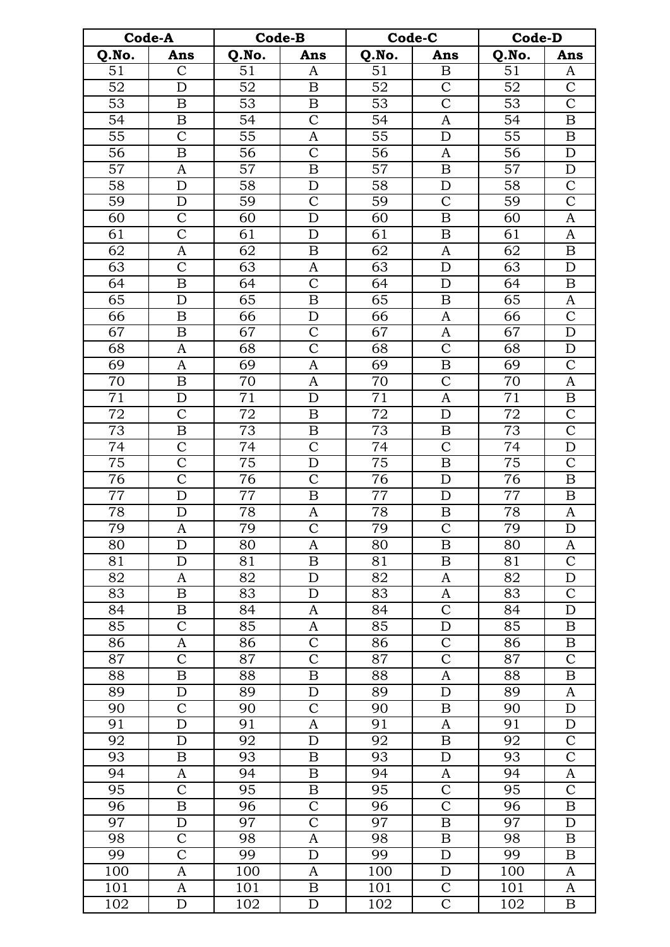| Code-A          |                         | <b>Code-B</b>    |                           | Code-C          |                       | <b>Code-D</b>    |                         |
|-----------------|-------------------------|------------------|---------------------------|-----------------|-----------------------|------------------|-------------------------|
| Q.No.           | Ans                     | Q.No.            | Ans                       | Q.No.           | Ans                   | Q.No.            | Ans                     |
| 51              | $\mathcal{C}$           | 51               | A                         | 51              | $\, {\bf B}$          | 51               | A                       |
| $\overline{52}$ | D                       | $\overline{52}$  | $\, {\bf B}$              | $\overline{52}$ | $\overline{C}$        | $\overline{52}$  | $\overline{\mathsf{C}}$ |
| 53              | $\boldsymbol{B}$        | 53               | $\boldsymbol{B}$          | 53              | $\overline{C}$        | 53               | $\overline{C}$          |
| 54              | B                       | 54               | $\mathbf C$               | 54              | A                     | 54               | $\, {\bf B}$            |
| 55              | $\overline{C}$          | 55               | A                         | 55              | $\mathbf D$           | 55               | B                       |
| 56              | $\overline{B}$          | $\overline{56}$  | $\overline{C}$            | $\overline{56}$ | $\mathbf{A}$          | $\overline{56}$  | $\mathbf D$             |
| 57              | A                       | 57               | $\, {\bf B}$              | 57              | $\, {\bf B}$          | 57               | $\mathbf D$             |
| 58              | $\mathbf D$             | 58               | $\mathbf D$               | 58              | $\mathbf D$           | 58               | $\mathcal{C}$           |
| 59              | $\mathbf D$             | 59               | $\mathcal{C}$             | 59              | $\mathcal{C}$         | 59               | $\overline{C}$          |
| 60              | $\mathsf{C}$            | 60               | $\mathbf D$               | 60              | $\, {\bf B}$          | 60               | A                       |
| 61              | $\overline{\text{C}}$   | 61               | $\mathbf D$               | 61              | B                     | 61               | $\mathbf{A}$            |
| 62              | A                       | 62               | $\boldsymbol{B}$          | 62              | A                     | 62               | $\boldsymbol{B}$        |
| 63              | $\overline{\text{C}}$   | 63               | A                         | $\overline{63}$ | $\mathbf D$           | 63               | $\mathbf D$             |
| 64              | B                       | 64               | $\overline{\text{C}}$     | 64              | D                     | 64               | B                       |
| 65              | D                       | 65               | $\, {\bf B}$              | 65              | $\boldsymbol{B}$      | 65               | A                       |
| 66              | $\boldsymbol{B}$        | $\overline{66}$  | ${\bf D}$                 | 66              | A                     | 66               | $\overline{C}$          |
| 67              | B                       | 67               | $\overline{C}$            | 67              | A                     | 67               | $\mathbf D$             |
| 68              | $\mathbf{A}$            | 68               | $\overline{\text{C}}$     | 68              | $\overline{C}$        | 68               | $\mathbf D$             |
| 69              | $\mathbf{A}$            | 69               | A                         | 69              | $\, {\bf B}$          | 69               | $\mathcal{C}$           |
| 70              | $\overline{B}$          | 70               | A                         | 70              | $\overline{\text{C}}$ | 70               | $\boldsymbol{A}$        |
| $\overline{71}$ | $\mathbf D$             | $\overline{71}$  | $\mathbf D$               | 71              | $\mathbf{A}$          | $\overline{71}$  | $\, {\bf B}$            |
| 72              | $\mathcal{C}$           | 72               | $\boldsymbol{B}$          | 72              | $\mathbf D$           | 72               | $\mathbf C$             |
| 73              | B                       | 73               | B                         | 73              | B                     | 73               | $\overline{C}$          |
| 74              | $\overline{\text{C}}$   | 74               | $\overline{C}$            | 74              | $\overline{C}$        | 74               | ${\rm D}$               |
| $\overline{75}$ | $\overline{\text{C}}$   | $\overline{75}$  | $\mathbf D$               | 75              | $\overline{B}$        | 75               | $\overline{\mathsf{C}}$ |
| 76              | $\overline{\text{C}}$   | 76               | $\mathcal{C}$             | 76              | $\mathbf D$           | 76               | $\boldsymbol{B}$        |
| 77              | $\mathbf D$             | 77               | $\, {\bf B}$              | 77              | $\mathbf D$           | 77               | $\boldsymbol{B}$        |
| 78              | D                       | 78               | A                         | 78              | B                     | 78               | A                       |
| 79              | $\boldsymbol{A}$        | 79               | $\overline{C}$            | 79              | $\overline{C}$        | 79               | $\overline{D}$          |
| 80              | D                       | 80               | A                         | 80              | B                     | 80               | A                       |
| 81              | D                       | 81               | B                         | 81              | B                     | 81               | $\mathsf{C}$            |
| 82              | A                       | 82               | $\mathbf D$               | 82              | A                     | 82               | $\mathbf D$             |
| 83              | B                       | 83               | D                         | 83              | A                     | 83               | $\overline{C}$          |
| 84              | B                       | 84               | A                         | 84              | $\mathcal{C}$         | 84               | $\mathbf D$             |
| 85              | $\mathcal{C}$           | 85               | A                         | 85              | $\mathbf D$           | $\overline{8}5$  | B                       |
| 86              | A                       | 86               | $\mathcal{C}$             | 86              | $\mathcal{C}$         | 86               | B                       |
| 87              | $\overline{\mathsf{C}}$ | 87               | $\overline{\text{C}}$     | $\overline{87}$ | $\overline{\text{C}}$ | 87               | $\overline{\mathsf{C}}$ |
| 88              | B                       | 88               | $\, {\bf B}$              | 88              | $\boldsymbol{\rm{A}}$ | 88               | $\boldsymbol{B}$        |
| 89              | $\mathbf D$             | 89               | $\mathbf D$               | 89              | $\mathbf D$           | 89               | A                       |
| 90              | $\overline{C}$          | 90               | $\overline{C}$            | 90              | B                     | 90               | $\mathbf D$             |
| 91              | D                       | 91               | A                         | 91              | A                     | 91               | $\mathbf D$             |
| 92              | $\mathbf D$             | 92               | ${\bf D}$                 | 92              | $\boldsymbol{B}$      | 92               | $\overline{C}$          |
| 93              | B                       | 93               | $\boldsymbol{B}$          | 93              | $\mathbf D$           | 93               | $\overline{C}$          |
| 94              | A                       | 94               | $\boldsymbol{\mathrm{B}}$ | 94              | A                     | 94               | A                       |
| 95              | $\mathcal{C}$           | 95               | B                         | 95              | $\mathcal{C}$         | 95               | $\mathsf{C}$            |
| 96              | B                       | 96               | $\overline{\text{C}}$     | 96              | $\overline{C}$        | 96               | $\boldsymbol{B}$        |
| $\overline{97}$ | D                       | 97               | $\overline{\mathrm{C}}$   | 97              | $\, {\bf B}$          | 97               | $\mathbf D$             |
| 98              | $\mathbf C$             | 98               | A                         | 98              | $\boldsymbol{B}$      | 98               | $\boldsymbol{B}$        |
| 99              | $\overline{\text{C}}$   | 99               | $\mathbf D$               | 99              | D                     | 99               | B                       |
| 100             | A                       | $\overline{1}00$ | A                         | 100             | D                     | 100              | A                       |
| 101             | A                       | 101              | $\boldsymbol{B}$          | 101             | $\overline{C}$        | 101              | A                       |
| 102             | $\mathbf D$             | 102              | $\mathbf D$               | 102             | $\overline{C}$        | $\overline{1}02$ | B                       |